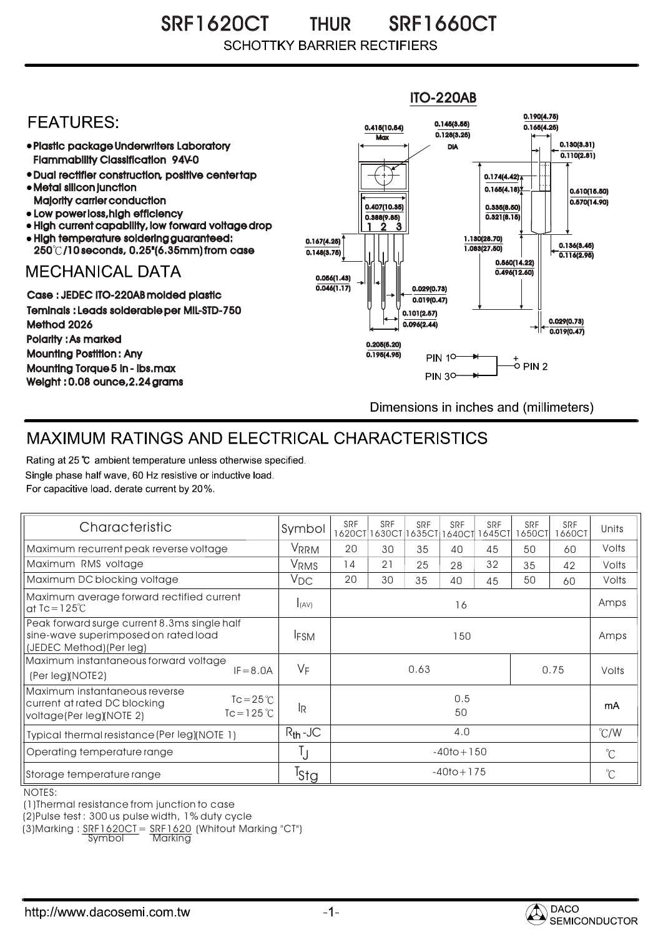SRF1620CT THUR SRF1660CT THUR **SCHOTTKY BARRIER RECTIFIERS** 



## MAXIMUM RATINGS AND ELECTRICAL CHARACTERISTICS

Rating at 25 °C ambient temperature unless otherwise specified. Single phase half wave, 60 Hz resistive or inductive load. For capacitive load, derate current by 20%.

| Characteristic                                                                                                                  | Symbol       | SRF            | <b>SRF</b><br>1620CT 1630CT | SRF<br>1635CT | <b>SRF</b><br>1640CT | SRF<br>645CT | <b>SRF</b><br>1650CT | <b>SRF</b><br>1660CT | Units         |
|---------------------------------------------------------------------------------------------------------------------------------|--------------|----------------|-----------------------------|---------------|----------------------|--------------|----------------------|----------------------|---------------|
| Maximum recurrent peak reverse voltage                                                                                          | VRRM         | 20             | 30                          | 35            | 40                   | 45           | 50                   | 60                   | Volts         |
| Maximum RMS voltage                                                                                                             | VRMS         | 14             | 21                          | 25            | 28                   | 32           | 35                   | 42                   | Volts         |
| Maximum DC blocking voltage                                                                                                     | $V_{DC}$     | 20             | 30                          | 35            | 40                   | 45           | 50                   | 60                   | Volts         |
| Maximum average forward rectified current<br>at $Ic = 125^{\circ}C$                                                             | I(AV)        | 16             |                             |               |                      |              |                      |                      | Amps          |
| Peak forward surge current 8.3ms single half<br>sine-wave superimposed on rated load<br>(JEDEC Method) (Per leg)                | <b>IFSM</b>  | 150            |                             |               |                      |              |                      |                      | Amps          |
| Maximum instantaneous forward voltage<br>$IF = 8.0A$<br>(Per leg)(NOTE2)                                                        | $V_F$        | 0.63<br>0.75   |                             |               |                      |              |                      | Volts                |               |
| Maximum instantaneous reverse<br>$Tc = 25^{\circ}$<br>current at rated DC blocking<br>$Tc = 125 °C$<br>voltage(Per leg)(NOTE 2) | IR.          | 0.5<br>50      |                             |               |                      |              |                      |                      | mA            |
| Typical thermal resistance (Per leg)(NOTE 1)                                                                                    | $R_{th}$ -JC | 4.0            |                             |               |                      |              |                      |                      | $\degree$ C/W |
| Operating temperature range                                                                                                     |              | $-40$ to + 150 |                             |               |                      |              |                      |                      | $^{\circ}$ C  |
| Storage temperature range                                                                                                       | Tstg         | $-40$ to + 175 |                             |               |                      |              |                      |                      | $^{\circ}$ C  |

NOTES:

(1)Thermal resistance from junction to case

(2)Pulse test : 300 us pulse width, 1% duty cycle

 $(3)$ Marking :  $\frac{SRF1620CI = SRF1620}{Symb0}$  (Whitout Marking "CT")

Markina